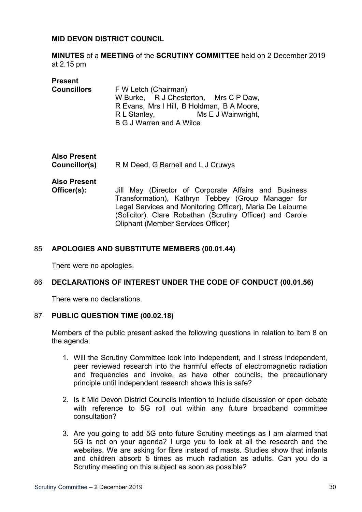### **MID DEVON DISTRICT COUNCIL**

**MINUTES** of a **MEETING** of the **SCRUTINY COMMITTEE** held on 2 December 2019 at 2.15 pm

| <b>Present</b><br><b>Councillors</b> | F W Letch (Chairman)<br>W Burke, R J Chesterton, Mrs C P Daw,<br>R Evans, Mrs I Hill, B Holdman, B A Moore,<br>Ms E J Wainwright,<br>R L Stanley,<br>B G J Warren and A Wilce                                                        |
|--------------------------------------|--------------------------------------------------------------------------------------------------------------------------------------------------------------------------------------------------------------------------------------|
| <b>Also Present</b><br>Councillor(s) | R M Deed, G Barnell and L J Cruwys                                                                                                                                                                                                   |
| <b>Also Present</b><br>Officer(s):   | Jill May (Director of Corporate Affairs and Business<br>Transformation), Kathryn Tebbey (Group Manager for<br>Legal Services and Monitoring Officer), Maria De Leiburne<br>(Solicitor), Clare Robathan (Scrutiny Officer) and Carole |

### 85 **APOLOGIES AND SUBSTITUTE MEMBERS (00.01.44)**

There were no apologies.

### 86 **DECLARATIONS OF INTEREST UNDER THE CODE OF CONDUCT (00.01.56)**

Oliphant (Member Services Officer)

There were no declarations.

### 87 **PUBLIC QUESTION TIME (00.02.18)**

Members of the public present asked the following questions in relation to item 8 on the agenda:

- 1. Will the Scrutiny Committee look into independent, and I stress independent, peer reviewed research into the harmful effects of electromagnetic radiation and frequencies and invoke, as have other councils, the precautionary principle until independent research shows this is safe?
- 2. Is it Mid Devon District Councils intention to include discussion or open debate with reference to 5G roll out within any future broadband committee consultation?
- 3. Are you going to add 5G onto future Scrutiny meetings as I am alarmed that 5G is not on your agenda? I urge you to look at all the research and the websites. We are asking for fibre instead of masts. Studies show that infants and children absorb 5 times as much radiation as adults. Can you do a Scrutiny meeting on this subject as soon as possible?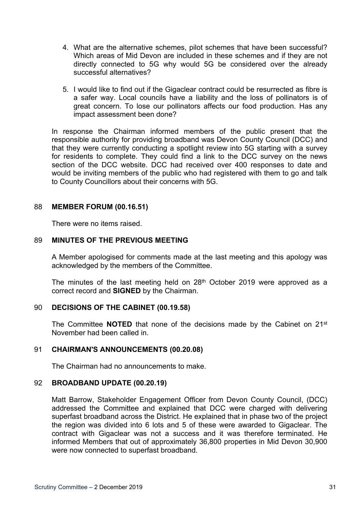- 4. What are the alternative schemes, pilot schemes that have been successful? Which areas of Mid Devon are included in these schemes and if they are not directly connected to 5G why would 5G be considered over the already successful alternatives?
- 5. I would like to find out if the Gigaclear contract could be resurrected as fibre is a safer way. Local councils have a liability and the loss of pollinators is of great concern. To lose our pollinators affects our food production. Has any impact assessment been done?

In response the Chairman informed members of the public present that the responsible authority for providing broadband was Devon County Council (DCC) and that they were currently conducting a spotlight review into 5G starting with a survey for residents to complete. They could find a link to the DCC survey on the news section of the DCC website. DCC had received over 400 responses to date and would be inviting members of the public who had registered with them to go and talk to County Councillors about their concerns with 5G.

## 88 **MEMBER FORUM (00.16.51)**

There were no items raised.

## 89 **MINUTES OF THE PREVIOUS MEETING**

A Member apologised for comments made at the last meeting and this apology was acknowledged by the members of the Committee.

The minutes of the last meeting held on 28<sup>th</sup> October 2019 were approved as a correct record and **SIGNED** by the Chairman.

## 90 **DECISIONS OF THE CABINET (00.19.58)**

The Committee **NOTED** that none of the decisions made by the Cabinet on 21st November had been called in.

## 91 **CHAIRMAN'S ANNOUNCEMENTS (00.20.08)**

The Chairman had no announcements to make.

### 92 **BROADBAND UPDATE (00.20.19)**

Matt Barrow, Stakeholder Engagement Officer from Devon County Council, (DCC) addressed the Committee and explained that DCC were charged with delivering superfast broadband across the District. He explained that in phase two of the project the region was divided into 6 lots and 5 of these were awarded to Gigaclear. The contract with Gigaclear was not a success and it was therefore terminated. He informed Members that out of approximately 36,800 properties in Mid Devon 30,900 were now connected to superfast broadband.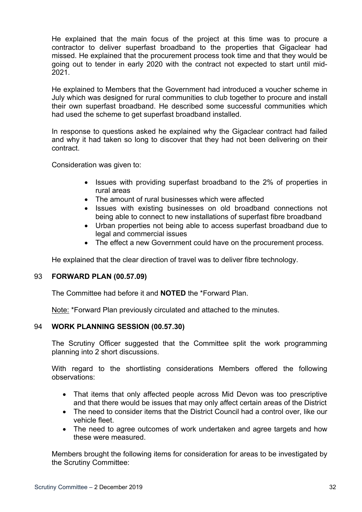He explained that the main focus of the project at this time was to procure a contractor to deliver superfast broadband to the properties that Gigaclear had missed. He explained that the procurement process took time and that they would be going out to tender in early 2020 with the contract not expected to start until mid-2021.

He explained to Members that the Government had introduced a voucher scheme in July which was designed for rural communities to club together to procure and install their own superfast broadband. He described some successful communities which had used the scheme to get superfast broadband installed.

In response to questions asked he explained why the Gigaclear contract had failed and why it had taken so long to discover that they had not been delivering on their contract.

Consideration was given to:

- Issues with providing superfast broadband to the 2% of properties in rural areas
- The amount of rural businesses which were affected
- Issues with existing businesses on old broadband connections not being able to connect to new installations of superfast fibre broadband
- Urban properties not being able to access superfast broadband due to legal and commercial issues
- The effect a new Government could have on the procurement process.

He explained that the clear direction of travel was to deliver fibre technology.

### 93 **FORWARD PLAN (00.57.09)**

The Committee had before it and **NOTED** the \*Forward Plan.

Note: \*Forward Plan previously circulated and attached to the minutes.

### 94 **WORK PLANNING SESSION (00.57.30)**

The Scrutiny Officer suggested that the Committee split the work programming planning into 2 short discussions.

With regard to the shortlisting considerations Members offered the following observations:

- That items that only affected people across Mid Devon was too prescriptive and that there would be issues that may only affect certain areas of the District
- The need to consider items that the District Council had a control over, like our vehicle fleet.
- The need to agree outcomes of work undertaken and agree targets and how these were measured.

Members brought the following items for consideration for areas to be investigated by the Scrutiny Committee: